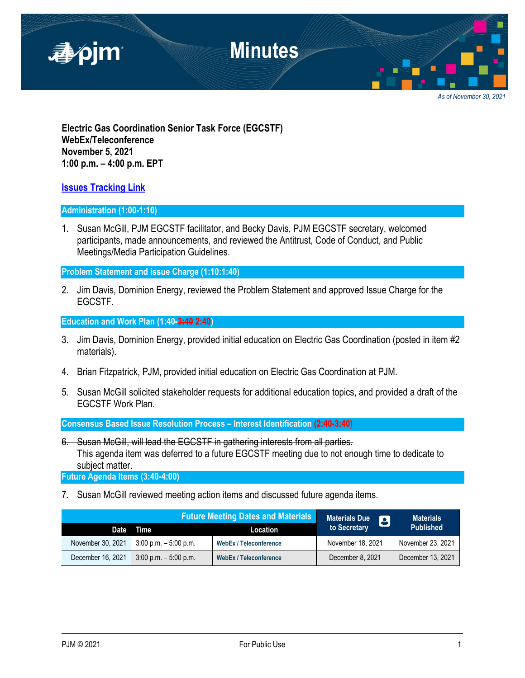

*As of November 30, 2021*

**Electric Gas Coordination Senior Task Force (EGCSTF) WebEx/Teleconference November 5, 2021 1:00 p.m. – 4:00 p.m. EPT**

### **[Issues Tracking Link](https://www.pjm.com/committees-and-groups/issue-tracking/issue-tracking-details.aspx?Issue=e3c8385c-0638-4a1d-a5d2-8b1a2a87c295)**

#### **Administration (1:00-1:10)**

1. Susan McGill, PJM EGCSTF facilitator, and Becky Davis, PJM EGCSTF secretary, welcomed participants, made announcements, and reviewed the Antitrust, Code of Conduct, and Public Meetings/Media Participation Guidelines.

**Problem Statement and issue Charge (1:10:1:40)**

2. Jim Davis, Dominion Energy, reviewed the Problem Statement and approved Issue Charge for the EGCSTF.

## **Education and Work Plan (1:40-3:40 2:40)**

- 3. Jim Davis, Dominion Energy, provided initial education on Electric Gas Coordination (posted in item #2 materials).
- 4. Brian Fitzpatrick, PJM, provided initial education on Electric Gas Coordination at PJM.
- 5. Susan McGill solicited stakeholder requests for additional education topics, and provided a draft of the EGCSTF Work Plan.

**Consensus Based Issue Resolution Process – Interest Identification (2:40-3:40)**

6. Susan McGill, will lead the EGCSTF in gathering interests from all parties. This agenda item was deferred to a future EGCSTF meeting due to not enough time to dedicate to subject matter.

**Future Agenda Items (3:40-4:00)**

7. Susan McGill reviewed meeting action items and discussed future agenda items.

| <b>Future Meeting Dates and Materials</b> |                          | <b>Materials Due</b><br>8     | <b>Materials</b>  |                   |
|-------------------------------------------|--------------------------|-------------------------------|-------------------|-------------------|
|                                           | Date Time                | Location                      | to Secretary      | <b>Published</b>  |
| November 30, 2021                         | $3:00$ p.m. $-5:00$ p.m. | <b>WebEx / Teleconference</b> | November 18, 2021 | November 23, 2021 |
| December 16, 2021                         | $3:00$ p.m. $-5:00$ p.m. | <b>WebEx / Teleconference</b> | December 8, 2021  | December 13, 2021 |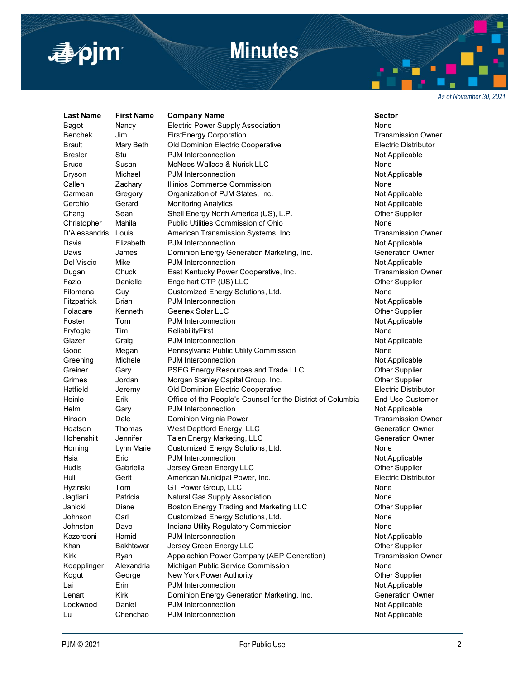

## **Minutes**

*As of November 30, 2021*

**Last Name First Name Company Name Sector** Bagot **Nancy** Electric Power Supply Association **None** None Benchek Jim FirstEnergy Corporation **First Accommon Contact Contact Contact Contact Contact Contact Contact Conta** Brault Mary Beth Old Dominion Electric Cooperative **Electric Distributor** Electric Distributor Bresler Stu Bull PJM Interconnection Communication Not Applicable Bruce Susan McNees Wallace & Nurick LLC None Bryson Michael PJM Interconnection Not Applicable Not Applicable Callen **Zachary Illinios Commerce Commission None** Carmean Gregory Organization of PJM States, Inc. Not Applicable Cerchio Gerard Monitoring Analytics Cerchio Not Applicable Chang Sean Shell Energy North America (US), L.P. Chang Other Supplier Christopher Mahila Public Utilities Commission of Ohio None D'Alessandris Louis American Transmission Systems, Inc. Transmission Owner Davis Elizabeth PJM Interconnection Not Applicable Davis James Dominion Energy Generation Marketing, Inc. Seneration Owner Del Viscio Mike PJM Interconnection Not Applicable Not Applicable Dugan Chuck East Kentucky Power Cooperative, Inc. Transmission Owner Fazio Danielle Engelhart CTP (US) LLC CHEREN COMENT COMENT COMENTER Supplier Filomena Guy Customized Energy Solutions, Ltd. Customeral Customeral Customeral Customeral Customeral Customer Fitzpatrick Brian PJM Interconnection<br>Foladare Kenneth Geenex Solar LLC Notable Research Other Sunnlier Foladare Kenneth Geenex Solar LLC **Contained Accord Containers** Other Supplier Foster Tom PJM Interconnection **Not Applicable** Not Applicable Fryfogle Tim ReliabilityFirst None Glazer Craig PJM Interconnection Craig PS Not Applicable Good Megan Pennsylvania Public Utility Commission Cood Mone Greening Michele PJM Interconnection Contraction Not Applicable Greiner Gary PSEG Energy Resources and Trade LLC Cher Supplier Grimes Jordan Morgan Stanley Capital Group, Inc. Channel Mother Supplier Hatfield Jeremy Old Dominion Electric Cooperative Electric Distributor Heinle Erik Office of the People's Counsel for the District of Columbia End-Use Customer Helm Gary PJM Interconnection Contraction Not Applicable Hinson Dale Dominion Virginia Power Chronic Communisties of Transmission Owner Hoatson Thomas West Deptford Energy, LLC Charles Contraction Owner Hohenshilt Jennifer Talen Energy Marketing, LLC Generation Owner Horning Lynn Marie Customized Energy Solutions, Ltd. None Hsia Eric PJM Interconnection **Not Applicable** Hudis Gabriella Jersey Green Energy LLC **Contained Accord City Containers** Other Supplier Hull Gerit American Municipal Power, Inc. Electric Distributor Hyzinski Tom GT Power Group, LLC None Jagtiani Patricia Natural Gas Supply Association None Janicki Diane Boston Energy Trading and Marketing LLC Other Supplier Johnson Carl Customized Energy Solutions, Ltd. None Johnston Dave Indiana Utility Regulatory Commission None Kazerooni Hamid PJM Interconnection Not Applicable Khan Bakhtawar Jersey Green Energy LLC **Green Constant Constant Constant Constant** Other Supplier Kirk **Ryan Appalachian Power Company (AEP Generation)** Transmission Owner Koepplinger Alexandria Michigan Public Service Commission None Kogut George New York Power Authority **New York Power Authority** Channel Channel Other Supplier Lai **Erin Brum PJM Interconnection** Chronic Communist Chronicable Not Applicable Lenart Kirk Dominion Energy Generation Marketing, Inc. Generation Owner Lockwood Daniel PJM Interconnection Not Applicable Lu Chenchao PJM Interconnection Chenchao PS Applicable Not Applicable